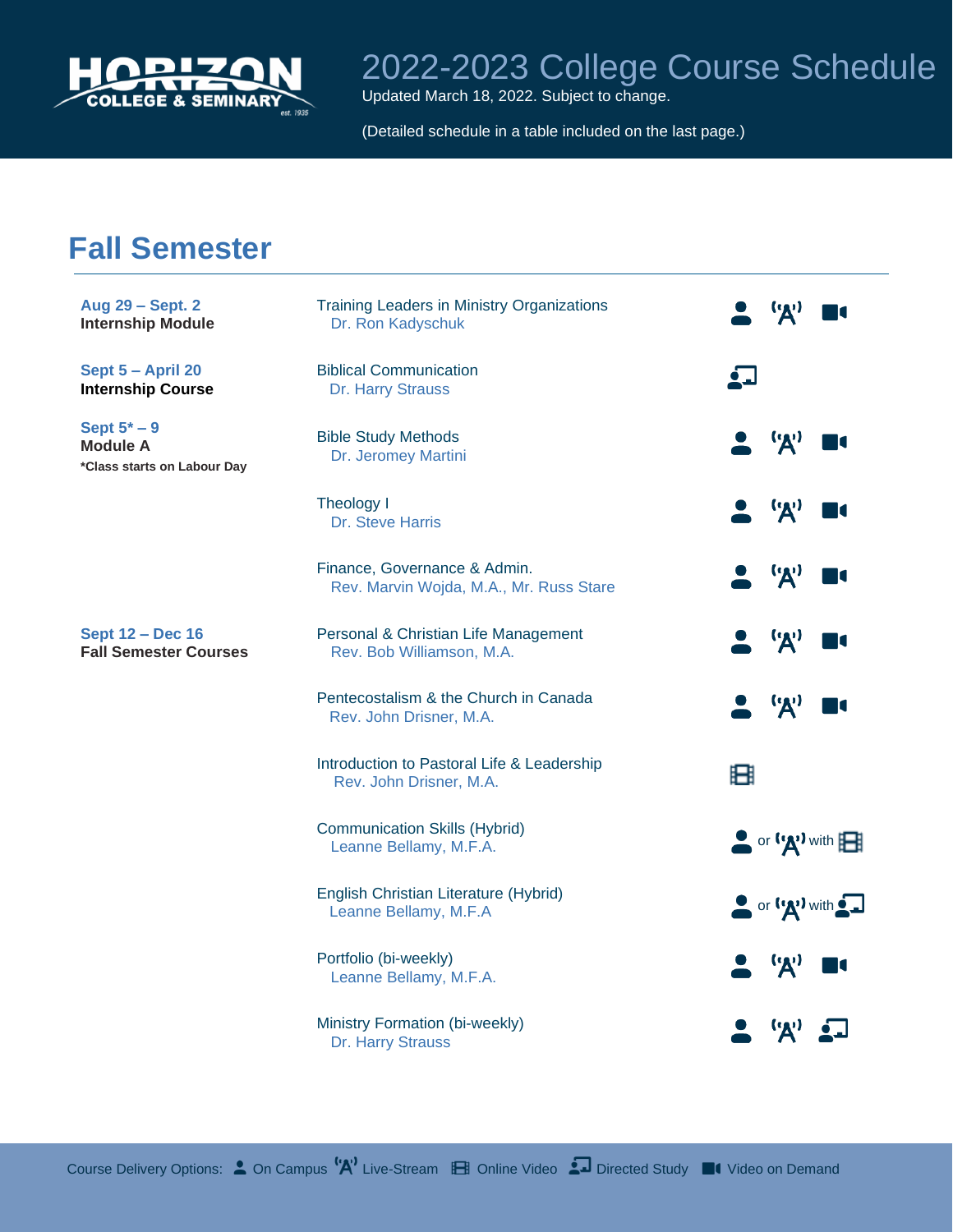

Updated March 18, 2022. Subject to change.

(Detailed schedule in a table included on the last page.)

#### **Fall Semester**

| Aug 29 - Sept. 2<br><b>Internship Module</b>                     | <b>Training Leaders in Ministry Organizations</b><br>Dr. Ron Kadyschuk  | $(\mathbf{y})$                                              |
|------------------------------------------------------------------|-------------------------------------------------------------------------|-------------------------------------------------------------|
| Sept 5 - April 20<br><b>Internship Course</b>                    | <b>Biblical Communication</b><br>Dr. Harry Strauss                      | <u>ė "I</u>                                                 |
| Sept $5^*$ – 9<br><b>Module A</b><br>*Class starts on Labour Day | <b>Bible Study Methods</b><br>Dr. Jeromey Martini                       | 'A'                                                         |
|                                                                  | Theology I<br>Dr. Steve Harris                                          | 'A'                                                         |
|                                                                  | Finance, Governance & Admin.<br>Rev. Marvin Wojda, M.A., Mr. Russ Stare | 'A'                                                         |
| <b>Sept 12 - Dec 16</b><br><b>Fall Semester Courses</b>          | Personal & Christian Life Management<br>Rev. Bob Williamson, M.A.       | ('A')                                                       |
|                                                                  | Pentecostalism & the Church in Canada<br>Rev. John Drisner, M.A.        | ('A')                                                       |
|                                                                  | Introduction to Pastoral Life & Leadership<br>Rev. John Drisner, M.A.   | 田                                                           |
|                                                                  | <b>Communication Skills (Hybrid)</b><br>Leanne Bellamy, M.F.A.          | $\bullet$ or $({\bf A})$ with $\boxplus$                    |
|                                                                  | English Christian Literature (Hybrid)<br>Leanne Bellamy, M.F.A          | $\bullet$ or $\mathbf{Y}$ with $\bullet\hspace{-.15cm}\Box$ |
|                                                                  | Portfolio (bi-weekly)<br>Leanne Bellamy, M.F.A.                         | ('A')                                                       |
|                                                                  | Ministry Formation (bi-weekly)<br>Dr. Harry Strauss                     |                                                             |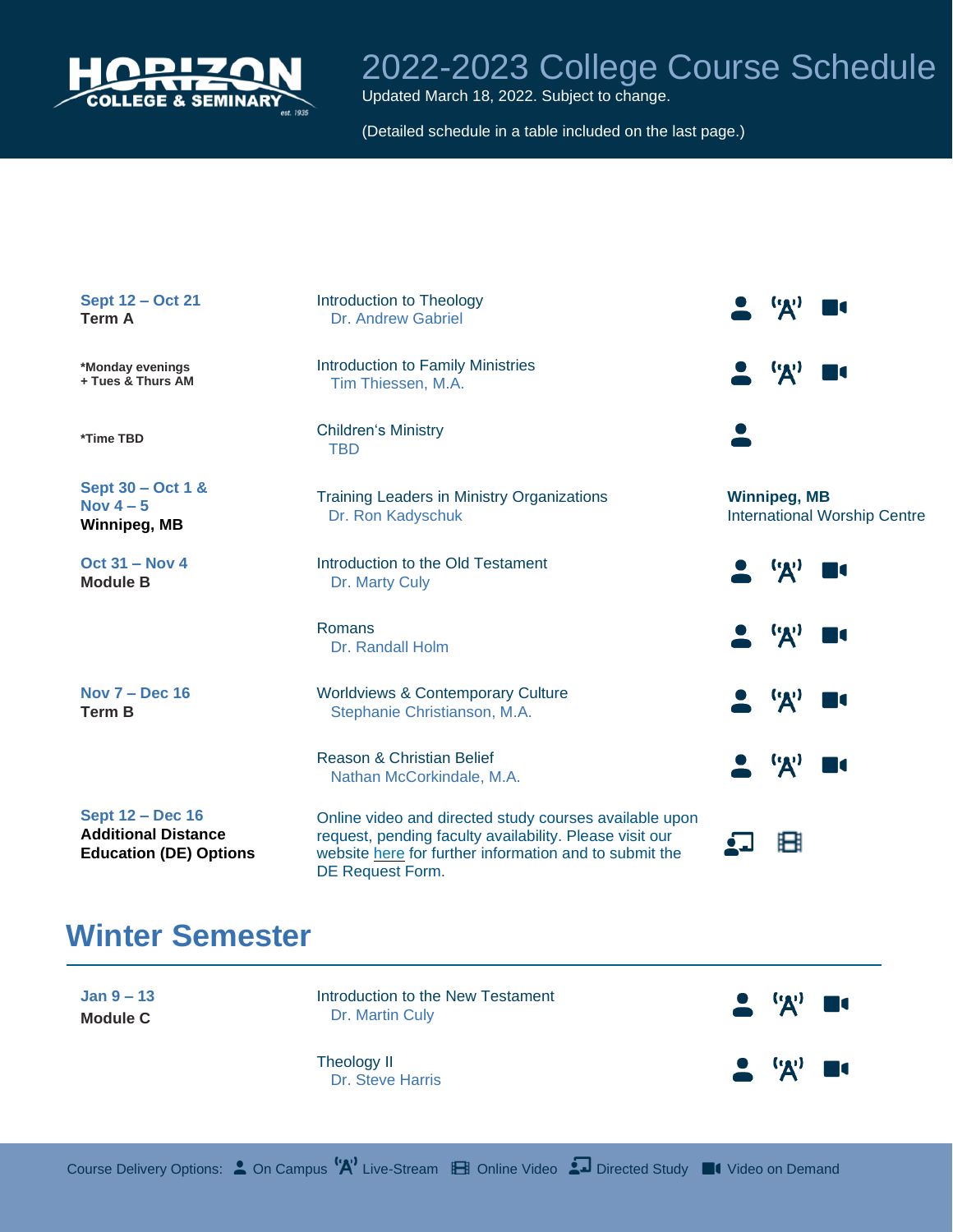

Updated March 18, 2022. Subject to change.

(Detailed schedule in a table included on the last page.)

| Sept 12 - Oct 21<br><b>Term A</b>                                                      | Introduction to Theology<br><b>Dr. Andrew Gabriel</b>                                                                                                                                           | $\mathbf{R}^0$                                             |
|----------------------------------------------------------------------------------------|-------------------------------------------------------------------------------------------------------------------------------------------------------------------------------------------------|------------------------------------------------------------|
| *Monday evenings<br>+ Tues & Thurs AM                                                  | <b>Introduction to Family Ministries</b><br>Tim Thiessen, M.A.                                                                                                                                  | $^{\prime\prime}$                                          |
| *Time TBD                                                                              | <b>Children's Ministry</b><br><b>TBD</b>                                                                                                                                                        |                                                            |
| Sept 30 - Oct 1 &<br>Nov $4-5$<br>Winnipeg, MB                                         | <b>Training Leaders in Ministry Organizations</b><br>Dr. Ron Kadyschuk                                                                                                                          | <b>Winnipeg, MB</b><br><b>International Worship Centre</b> |
| <b>Oct 31 - Nov 4</b><br><b>Module B</b>                                               | Introduction to the Old Testament<br>Dr. Marty Culy                                                                                                                                             | ''A'                                                       |
|                                                                                        | Romans<br>Dr. Randall Holm                                                                                                                                                                      | ('A')                                                      |
| Nov $7 - Dec$ 16<br><b>Term B</b>                                                      | <b>Worldviews &amp; Contemporary Culture</b><br>Stephanie Christianson, M.A.                                                                                                                    | ('A')                                                      |
|                                                                                        | <b>Reason &amp; Christian Belief</b><br>Nathan McCorkindale, M.A.                                                                                                                               | ('A')                                                      |
| <b>Sept 12 - Dec 16</b><br><b>Additional Distance</b><br><b>Education (DE) Options</b> | Online video and directed study courses available upon<br>request, pending faculty availability. Please visit our<br>website here for further information and to submit the<br>DE Request Form. | Ħ                                                          |

#### **Winter Semester**

**Jan 9 – 13 Module C**

Introduction to the New Testament Dr. Martin Culy

 $\mathbf{q}$ I

Theology II Dr. Steve Harris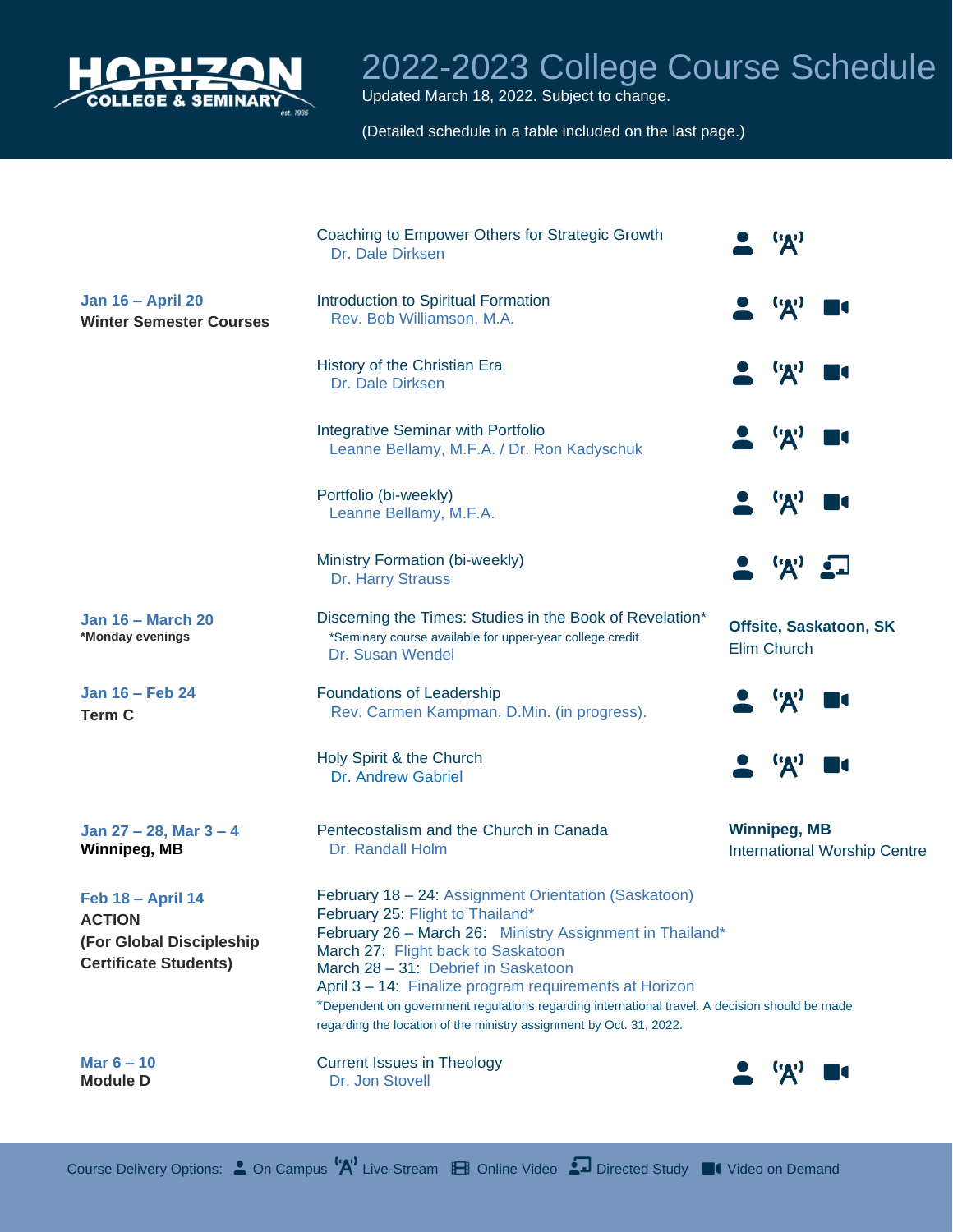

Updated March 18, 2022. Subject to change.

(Detailed schedule in a table included on the last page.)

|                                                                                                       | Coaching to Empower Others for Strategic Growth<br>Dr. Dale Dirksen                                                                                                                                                                                                                                                                                                                                                                                                  | (0, 0)                                                     |
|-------------------------------------------------------------------------------------------------------|----------------------------------------------------------------------------------------------------------------------------------------------------------------------------------------------------------------------------------------------------------------------------------------------------------------------------------------------------------------------------------------------------------------------------------------------------------------------|------------------------------------------------------------|
| <b>Jan 16 - April 20</b><br><b>Winter Semester Courses</b>                                            | Introduction to Spiritual Formation<br>Rev. Bob Williamson, M.A.                                                                                                                                                                                                                                                                                                                                                                                                     | $\mathbf{A}$                                               |
|                                                                                                       | History of the Christian Era<br>Dr. Dale Dirksen                                                                                                                                                                                                                                                                                                                                                                                                                     | 'A'                                                        |
|                                                                                                       | <b>Integrative Seminar with Portfolio</b><br>Leanne Bellamy, M.F.A. / Dr. Ron Kadyschuk                                                                                                                                                                                                                                                                                                                                                                              | $\mathbf{F}$                                               |
|                                                                                                       | Portfolio (bi-weekly)<br>Leanne Bellamy, M.F.A.                                                                                                                                                                                                                                                                                                                                                                                                                      | ('A')                                                      |
|                                                                                                       | Ministry Formation (bi-weekly)<br>Dr. Harry Strauss                                                                                                                                                                                                                                                                                                                                                                                                                  | $\mathbf{A}$                                               |
| <b>Jan 16 – March 20</b><br>*Monday evenings                                                          | Discerning the Times: Studies in the Book of Revelation*<br>*Seminary course available for upper-year college credit<br>Dr. Susan Wendel                                                                                                                                                                                                                                                                                                                             | Offsite, Saskatoon, SK<br>Elim Church                      |
| Jan 16 – Feb 24<br><b>Term C</b>                                                                      | Foundations of Leadership<br>Rev. Carmen Kampman, D.Min. (in progress).                                                                                                                                                                                                                                                                                                                                                                                              | ('A'                                                       |
|                                                                                                       | Holy Spirit & the Church<br>Dr. Andrew Gabriel                                                                                                                                                                                                                                                                                                                                                                                                                       | <b>''A'</b>                                                |
| Jan $27 - 28$ , Mar $3 - 4$<br><b>Winnipeg, MB</b>                                                    | Pentecostalism and the Church in Canada<br>Dr. Randall Holm                                                                                                                                                                                                                                                                                                                                                                                                          | <b>Winnipeg, MB</b><br><b>International Worship Centre</b> |
| <b>Feb 18 - April 14</b><br><b>ACTION</b><br>(For Global Discipleship<br><b>Certificate Students)</b> | February 18 - 24: Assignment Orientation (Saskatoon)<br>February 25: Flight to Thailand*<br>February 26 - March 26: Ministry Assignment in Thailand*<br>March 27: Flight back to Saskatoon<br>March 28 - 31: Debrief in Saskatoon<br>April 3 - 14: Finalize program requirements at Horizon<br>*Dependent on government regulations regarding international travel. A decision should be made<br>regarding the location of the ministry assignment by Oct. 31, 2022. |                                                            |
| Mar $6 - 10$<br><b>Module D</b>                                                                       | <b>Current Issues in Theology</b><br>Dr. Jon Stovell                                                                                                                                                                                                                                                                                                                                                                                                                 | ''A'<br>И                                                  |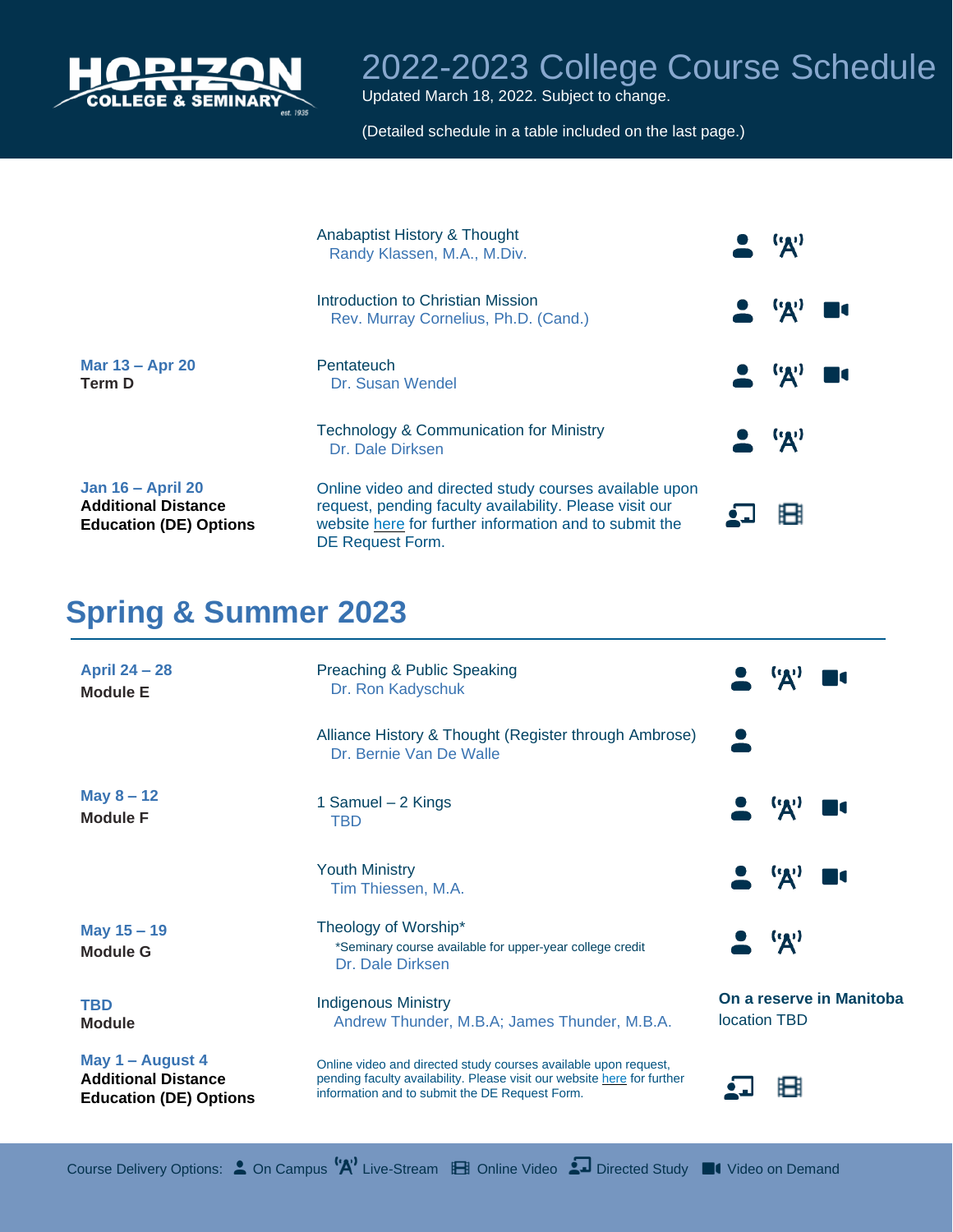

Updated March 18, 2022. Subject to change.

(Detailed schedule in a table included on the last page.)

|                                                                                         | Anabaptist History & Thought<br>Randy Klassen, M.A., M.Div.                                                                                                                                     | ('A')                         |
|-----------------------------------------------------------------------------------------|-------------------------------------------------------------------------------------------------------------------------------------------------------------------------------------------------|-------------------------------|
|                                                                                         | Introduction to Christian Mission<br>Rev. Murray Cornelius, Ph.D. (Cand.)                                                                                                                       | $\bullet$ $\mathcal{A}'$      |
| Mar 13 - Apr 20<br>Term D                                                               | Pentateuch<br>Dr. Susan Wendel                                                                                                                                                                  | $\bullet$ $\mathbf{A}$        |
|                                                                                         | <b>Technology &amp; Communication for Ministry</b><br>Dr. Dale Dirksen                                                                                                                          | $\bullet$ $\bullet$ $\bullet$ |
| <b>Jan 16 - April 20</b><br><b>Additional Distance</b><br><b>Education (DE) Options</b> | Online video and directed study courses available upon<br>request, pending faculty availability. Please visit our<br>website here for further information and to submit the<br>DE Request Form. |                               |

#### **Spring & Summer 2023**

| <b>April 24 - 28</b><br><b>Module E</b>                                         | Preaching & Public Speaking<br>Dr. Ron Kadyschuk                                                                                                                                             | <b>EXP</b>                               |
|---------------------------------------------------------------------------------|----------------------------------------------------------------------------------------------------------------------------------------------------------------------------------------------|------------------------------------------|
|                                                                                 | Alliance History & Thought (Register through Ambrose)<br>Dr. Bernie Van De Walle                                                                                                             |                                          |
| <b>May 8 – 12</b><br><b>Module F</b>                                            | 1 Samuel - 2 Kings<br>TBD                                                                                                                                                                    | $\bullet$ $\bullet$ $\bullet$            |
|                                                                                 | <b>Youth Ministry</b><br>Tim Thiessen, M.A.                                                                                                                                                  | $\bullet$ $\mathcal{A}'$                 |
| May 15 - 19<br><b>Module G</b>                                                  | Theology of Worship*<br>*Seminary course available for upper-year college credit<br>Dr. Dale Dirksen                                                                                         | $\blacktriangleright$ $\mathcal{A}'$     |
| <b>TBD</b><br><b>Module</b>                                                     | <b>Indigenous Ministry</b><br>Andrew Thunder, M.B.A; James Thunder, M.B.A.                                                                                                                   | On a reserve in Manitoba<br>location TBD |
| May 1 - August 4<br><b>Additional Distance</b><br><b>Education (DE) Options</b> | Online video and directed study courses available upon request,<br>pending faculty availability. Please visit our website here for further<br>information and to submit the DE Request Form. |                                          |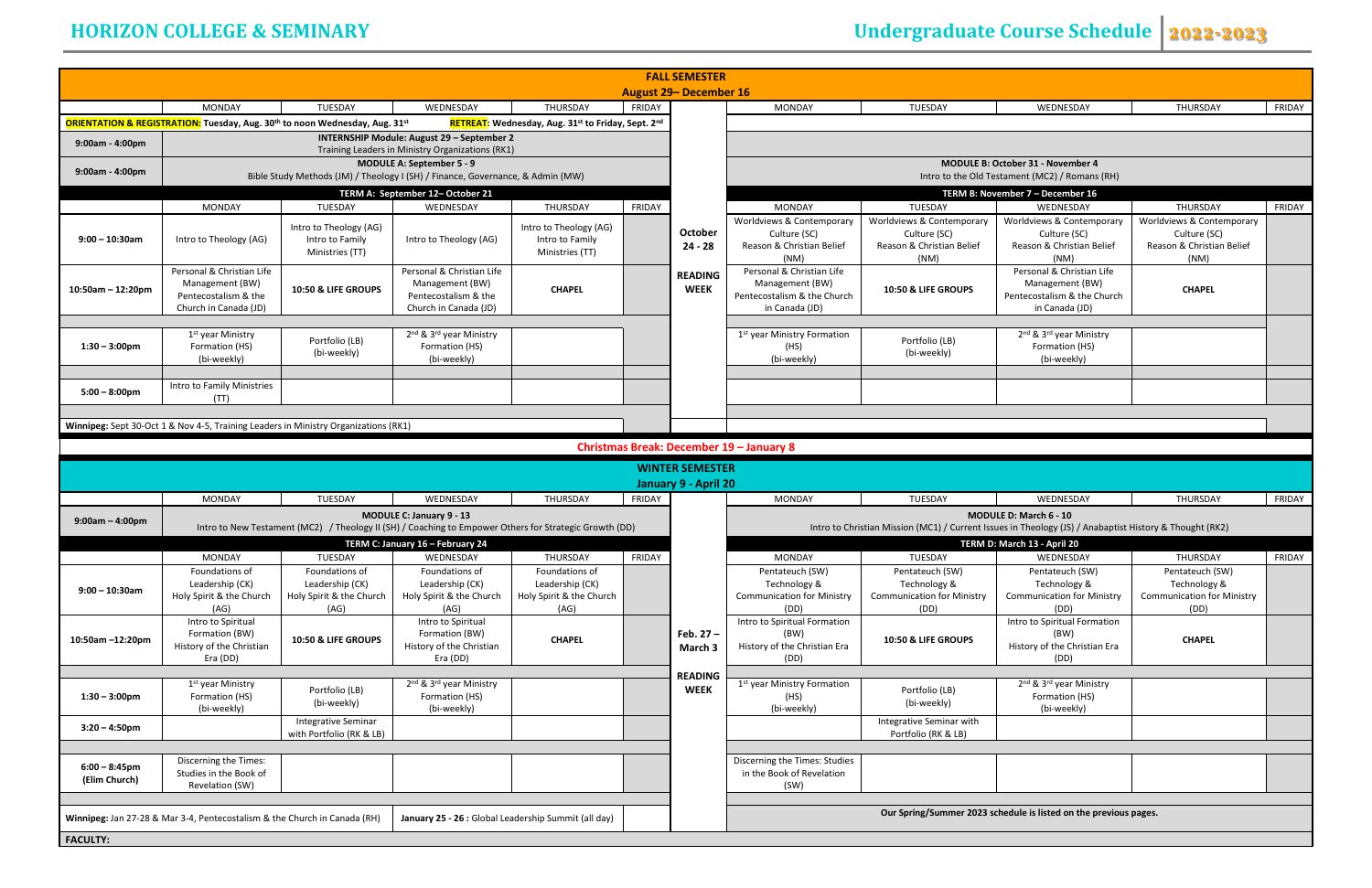| <b>MONDAY</b>                                                            | <b>TUESDAY</b>                                                                                          |                                                                                               |                                                   |               |
|--------------------------------------------------------------------------|---------------------------------------------------------------------------------------------------------|-----------------------------------------------------------------------------------------------|---------------------------------------------------|---------------|
|                                                                          |                                                                                                         | WEDNESDAY                                                                                     | <b>THURSDAY</b>                                   | <b>FRIDAY</b> |
|                                                                          |                                                                                                         |                                                                                               |                                                   |               |
|                                                                          |                                                                                                         |                                                                                               |                                                   |               |
|                                                                          |                                                                                                         | <b>MODULE B: October 31 - November 4</b><br>Intro to the Old Testament (MC2) / Romans (RH)    |                                                   |               |
|                                                                          |                                                                                                         | TERM B: November 7 - December 16                                                              |                                                   |               |
| <b>MONDAY</b><br>vs & Contemporary                                       | TUESDAY<br>Worldviews & Contemporary                                                                    | WEDNESDAY<br>Worldviews & Contemporary                                                        | <b>THURSDAY</b><br>Worldviews & Contemporary      | <b>FRIDAY</b> |
| ulture (SC)<br>& Christian Belief<br>(NM)                                | Culture (SC)<br>Reason & Christian Belief<br>(NM)                                                       | Culture (SC)<br>Reason & Christian Belief<br>(NM)                                             | Culture (SC)<br>Reason & Christian Belief<br>(NM) |               |
| al & Christian Life<br>agement (BW)<br>alism & the Church<br>Canada (JD) | 10:50 & LIFE GROUPS                                                                                     | Personal & Christian Life<br>Management (BW)<br>Pentecostalism & the Church<br>in Canada (JD) | <b>CHAPEL</b>                                     |               |
|                                                                          |                                                                                                         |                                                                                               |                                                   |               |
| Ministry Formation<br>(HS)<br>bi-weekly)                                 | Portfolio (LB)<br>(bi-weekly)                                                                           | 2 <sup>nd</sup> & 3 <sup>rd</sup> year Ministry<br>Formation (HS)<br>(bi-weekly)              |                                                   |               |
|                                                                          |                                                                                                         |                                                                                               |                                                   |               |
|                                                                          |                                                                                                         |                                                                                               |                                                   |               |
|                                                                          |                                                                                                         |                                                                                               |                                                   |               |
| ry 8                                                                     |                                                                                                         |                                                                                               |                                                   |               |
|                                                                          |                                                                                                         |                                                                                               |                                                   |               |
| <b>MONDAY</b>                                                            | <b>TUESDAY</b>                                                                                          | WEDNESDAY                                                                                     | <b>THURSDAY</b>                                   | <b>FRIDAY</b> |
|                                                                          | Intro to Christian Mission (MC1) / Current Issues in Theology (JS) / Anabaptist History & Thought (RK2) | <b>MODULE D: March 6 - 10</b>                                                                 |                                                   |               |
|                                                                          |                                                                                                         | TERM D: March 13 - April 20                                                                   |                                                   |               |
| <b>MONDAY</b>                                                            | <b>TUESDAY</b>                                                                                          | WEDNESDAY                                                                                     | <b>THURSDAY</b>                                   | <b>FRIDAY</b> |
| tateuch (SW)                                                             | Pentateuch (SW)                                                                                         | Pentateuch (SW)                                                                               | Pentateuch (SW)                                   |               |
| chnology &<br>ication for Ministry                                       | Technology &<br><b>Communication for Ministry</b>                                                       | Technology &                                                                                  | Technology &<br><b>Communication for Ministry</b> |               |
| (DD)                                                                     | (DD)                                                                                                    | <b>Communication for Ministry</b><br>(DD)                                                     | (DD)                                              |               |
| piritual Formation                                                       |                                                                                                         | Intro to Spiritual Formation<br>(BW)                                                          |                                                   |               |
|                                                                          | 10:50 & LIFE GROUPS                                                                                     | History of the Christian Era                                                                  | <b>CHAPEL</b>                                     |               |
| (BW)                                                                     |                                                                                                         |                                                                                               |                                                   |               |
| (DD)                                                                     |                                                                                                         | (DD)                                                                                          |                                                   |               |
|                                                                          |                                                                                                         | 2 <sup>nd</sup> & 3 <sup>rd</sup> year Ministry                                               |                                                   |               |
| (HS)                                                                     | Portfolio (LB)<br>(bi-weekly)                                                                           | Formation (HS)<br>(bi-weekly)                                                                 |                                                   |               |
| of the Christian Era<br>Ministry Formation<br>bi-weekly)                 | Integrative Seminar with<br>Portfolio (RK & LB)                                                         |                                                                                               |                                                   |               |
|                                                                          |                                                                                                         |                                                                                               |                                                   |               |
| the Times: Studies<br>ook of Revelation<br>(SW)                          |                                                                                                         |                                                                                               |                                                   |               |
|                                                                          |                                                                                                         |                                                                                               |                                                   |               |

# **HORIZON COLLEGE & SEMINARY** Undergraduate Course Schedule 2022-2023

|                      |                                                                                     |                                                        |                                                                                                        |                                                    | <b>FALL SEMESTER</b> | <b>August 29- December 16</b> |                                           |                                                   |                                                                                                         |                                           |                         |
|----------------------|-------------------------------------------------------------------------------------|--------------------------------------------------------|--------------------------------------------------------------------------------------------------------|----------------------------------------------------|----------------------|-------------------------------|-------------------------------------------|---------------------------------------------------|---------------------------------------------------------------------------------------------------------|-------------------------------------------|-------------------------|
|                      | MONDAY                                                                              | TUESDAY                                                | WEDNESDAY                                                                                              | THURSDAY                                           | FRIDAY               |                               | MONDAY                                    | TUESDAY                                           | WEDNESDAY                                                                                               | THURSDAY                                  | FRIDAY                  |
|                      | ORIENTATION & REGISTRATION: Tuesday, Aug. 30th to noon Wednesday, Aug. 31st         |                                                        |                                                                                                        | RETREAT: Wednesday, Aug. 31st to Friday, Sept. 2nd |                      |                               |                                           |                                                   |                                                                                                         |                                           |                         |
| $9:00am - 4:00pm$    |                                                                                     |                                                        | INTERNSHIP Module: August 29 - September 2                                                             |                                                    |                      |                               |                                           |                                                   |                                                                                                         |                                           |                         |
|                      |                                                                                     |                                                        | Training Leaders in Ministry Organizations (RK1)                                                       |                                                    |                      |                               |                                           |                                                   |                                                                                                         |                                           |                         |
| 9:00am - 4:00pm      |                                                                                     |                                                        | <b>MODULE A: September 5 - 9</b>                                                                       |                                                    |                      |                               |                                           |                                                   | <b>MODULE B: October 31 - November 4</b>                                                                |                                           |                         |
|                      |                                                                                     |                                                        | Bible Study Methods (JM) / Theology I (SH) / Finance, Governance, & Admin (MW)                         |                                                    |                      |                               |                                           |                                                   | Intro to the Old Testament (MC2) / Romans (RH)                                                          |                                           |                         |
|                      |                                                                                     |                                                        | TERM A: September 12-October 21                                                                        |                                                    |                      |                               |                                           |                                                   | TERM B: November 7 - December 16                                                                        |                                           |                         |
|                      | MONDAY                                                                              | TUESDAY                                                | WEDNESDAY                                                                                              | THURSDAY                                           | <b>FRIDAY</b>        |                               | <b>MONDAY</b>                             | TUESDAY                                           | WEDNESDAY                                                                                               | THURSDAY                                  | <b>FRIDAY</b>           |
|                      |                                                                                     | Intro to Theology (AG)                                 |                                                                                                        | Intro to Theology (AG)                             |                      | <b>October</b>                | Worldviews & Contemporary                 | Worldviews & Contemporary                         | Worldviews & Contemporary                                                                               | Worldviews & Contemporary                 |                         |
| $9:00 - 10:30$ am    | Intro to Theology (AG)                                                              | Intro to Family                                        | Intro to Theology (AG)                                                                                 | Intro to Family                                    |                      | $24 - 28$                     | Culture (SC)<br>Reason & Christian Belief | Culture (SC)<br>Reason & Christian Belief         | Culture (SC)<br>Reason & Christian Belief                                                               | Culture (SC)<br>Reason & Christian Belief |                         |
|                      |                                                                                     | Ministries (TT)                                        |                                                                                                        | Ministries (TT)                                    |                      |                               | (NM)                                      | (NM)                                              | (NM)                                                                                                    | (NM)                                      |                         |
|                      | Personal & Christian Life                                                           |                                                        | Personal & Christian Life                                                                              |                                                    |                      | <b>READING</b>                | Personal & Christian Life                 |                                                   | Personal & Christian Life                                                                               |                                           |                         |
|                      | Management (BW)                                                                     | <b>10:50 &amp; LIFE GROUPS</b>                         | Management (BW)                                                                                        | <b>CHAPEL</b>                                      |                      | <b>WEEK</b>                   | Management (BW)                           | 10:50 & LIFE GROUPS                               | Management (BW)                                                                                         | <b>CHAPEL</b>                             |                         |
| $10:50$ am - 12:20pm | Pentecostalism & the                                                                |                                                        | Pentecostalism & the                                                                                   |                                                    |                      |                               | Pentecostalism & the Church               |                                                   | Pentecostalism & the Church                                                                             |                                           |                         |
|                      | Church in Canada (JD)                                                               |                                                        | Church in Canada (JD)                                                                                  |                                                    |                      |                               | in Canada (JD)                            |                                                   | in Canada (JD)                                                                                          |                                           |                         |
|                      |                                                                                     |                                                        |                                                                                                        |                                                    |                      |                               |                                           |                                                   |                                                                                                         |                                           |                         |
|                      | 1 <sup>st</sup> year Ministry                                                       | Portfolio (LB)                                         | 2 <sup>nd</sup> & 3 <sup>rd</sup> year Ministry                                                        |                                                    |                      |                               | 1 <sup>st</sup> year Ministry Formation   | Portfolio (LB)                                    | 2 <sup>nd</sup> & 3 <sup>rd</sup> year Ministry                                                         |                                           |                         |
| $1:30 - 3:00$ pm     | Formation (HS)<br>(bi-weekly)                                                       | (bi-weekly)                                            | Formation (HS)<br>(bi-weekly)                                                                          |                                                    |                      |                               | (HS)<br>(bi-weekly)                       | (bi-weekly)                                       | Formation (HS)<br>(bi-weekly)                                                                           |                                           |                         |
|                      |                                                                                     |                                                        |                                                                                                        |                                                    |                      |                               |                                           |                                                   |                                                                                                         |                                           |                         |
|                      | Intro to Family Ministries                                                          |                                                        |                                                                                                        |                                                    |                      |                               |                                           |                                                   |                                                                                                         |                                           |                         |
| $5:00 - 8:00$ pm     | (TT)                                                                                |                                                        |                                                                                                        |                                                    |                      |                               |                                           |                                                   |                                                                                                         |                                           |                         |
|                      |                                                                                     |                                                        |                                                                                                        |                                                    |                      |                               |                                           |                                                   |                                                                                                         |                                           |                         |
|                      |                                                                                     |                                                        |                                                                                                        |                                                    |                      |                               |                                           |                                                   |                                                                                                         |                                           |                         |
|                      |                                                                                     |                                                        |                                                                                                        |                                                    |                      |                               |                                           |                                                   |                                                                                                         |                                           |                         |
|                      | Winnipeg: Sept 30-Oct 1 & Nov 4-5, Training Leaders in Ministry Organizations (RK1) |                                                        |                                                                                                        |                                                    |                      |                               |                                           |                                                   |                                                                                                         |                                           |                         |
|                      |                                                                                     |                                                        |                                                                                                        |                                                    |                      |                               | Christmas Break: December 19 - January 8  |                                                   |                                                                                                         |                                           |                         |
|                      |                                                                                     |                                                        |                                                                                                        |                                                    |                      | <b>WINTER SEMESTER</b>        |                                           |                                                   |                                                                                                         |                                           |                         |
|                      |                                                                                     |                                                        |                                                                                                        |                                                    |                      |                               |                                           |                                                   |                                                                                                         |                                           |                         |
|                      | MONDAY                                                                              | TUESDAY                                                | WEDNESDAY                                                                                              | THURSDAY                                           | FRIDAY               | January 9 - April 20          | <b>MONDAY</b>                             | TUESDAY                                           | WEDNESDAY                                                                                               | THURSDAY                                  |                         |
|                      |                                                                                     |                                                        |                                                                                                        |                                                    |                      |                               |                                           |                                                   |                                                                                                         |                                           |                         |
| $9:00am - 4:00pm$    |                                                                                     |                                                        | MODULE C: January 9 - 13                                                                               |                                                    |                      |                               |                                           |                                                   | MODULE D: March 6 - 10                                                                                  |                                           |                         |
|                      |                                                                                     |                                                        | Intro to New Testament (MC2) / Theology II (SH) / Coaching to Empower Others for Strategic Growth (DD) |                                                    |                      |                               |                                           |                                                   | Intro to Christian Mission (MC1) / Current Issues in Theology (JS) / Anabaptist History & Thought (RK2) |                                           |                         |
|                      |                                                                                     |                                                        | TERM C: January 16 - February 24                                                                       |                                                    |                      |                               |                                           |                                                   | TERM D: March 13 - April 20                                                                             |                                           |                         |
|                      | MONDAY                                                                              | TUESDAY                                                | WEDNESDAY                                                                                              | THURSDAY                                           | FRIDAY               |                               | MONDAY                                    | TUESDAY                                           | WEDNESDAY                                                                                               | THURSDAY                                  | FRIDAY<br><b>FRIDAY</b> |
|                      | Foundations of                                                                      | Foundations of                                         | Foundations of                                                                                         | Foundations of                                     |                      |                               | Pentateuch (SW)                           | Pentateuch (SW)                                   | Pentateuch (SW)                                                                                         | Pentateuch (SW)                           |                         |
| $9:00 - 10:30$ am    | Leadership (CK)                                                                     | Leadership (CK)                                        | Leadership (CK)                                                                                        | Leadership (CK)                                    |                      |                               | Technology &                              | Technology &<br><b>Communication for Ministry</b> | Technology &                                                                                            | Technology &                              |                         |
|                      | Holy Spirit & the Church<br>(AG)                                                    | Holy Spirit & the Church<br>(AG)                       | Holy Spirit & the Church<br>(AG)                                                                       | Holy Spirit & the Church<br>(AG)                   |                      |                               | <b>Communication for Ministry</b><br>(DD) | (DD)                                              | <b>Communication for Ministry</b><br>(DD)                                                               | <b>Communication for Ministry</b><br>(DD) |                         |
|                      | Intro to Spiritual                                                                  |                                                        | Intro to Spiritual                                                                                     |                                                    |                      |                               | Intro to Spiritual Formation              |                                                   | Intro to Spiritual Formation                                                                            |                                           |                         |
|                      | Formation (BW)                                                                      |                                                        | Formation (BW)                                                                                         |                                                    |                      | Feb. 27-                      | (BW)                                      |                                                   | (BW)                                                                                                    |                                           |                         |
|                      | History of the Christian                                                            | 10:50 & LIFE GROUPS                                    | History of the Christian                                                                               | <b>CHAPEL</b>                                      |                      | March 3                       | History of the Christian Era              | 10:50 & LIFE GROUPS                               | History of the Christian Era                                                                            | <b>CHAPEL</b>                             |                         |
|                      | Era (DD)                                                                            |                                                        | Era (DD)                                                                                               |                                                    |                      |                               | (DD)                                      |                                                   | (DD)                                                                                                    |                                           |                         |
| 10:50am -12:20pm     |                                                                                     |                                                        |                                                                                                        |                                                    |                      | <b>READING</b>                |                                           |                                                   |                                                                                                         |                                           |                         |
|                      | 1 <sup>st</sup> year Ministry                                                       | Portfolio (LB)                                         | 2 <sup>nd</sup> & 3 <sup>rd</sup> year Ministry                                                        |                                                    |                      | <b>WEEK</b>                   | 1 <sup>st</sup> year Ministry Formation   | Portfolio (LB)                                    | 2 <sup>nd</sup> & 3 <sup>rd</sup> year Ministry                                                         |                                           |                         |
| $1:30 - 3:00$ pm     | Formation (HS)                                                                      | (bi-weekly)                                            | Formation (HS)                                                                                         |                                                    |                      |                               | (HS)                                      | (bi-weekly)                                       | Formation (HS)                                                                                          |                                           |                         |
|                      | (bi-weekly)                                                                         |                                                        | (bi-weekly)                                                                                            |                                                    |                      |                               | (bi-weekly)                               |                                                   | (bi-weekly)                                                                                             |                                           |                         |
| $3:20 - 4:50$ pm     |                                                                                     | <b>Integrative Seminar</b><br>with Portfolio (RK & LB) |                                                                                                        |                                                    |                      |                               |                                           | Integrative Seminar with<br>Portfolio (RK & LB)   |                                                                                                         |                                           |                         |
|                      |                                                                                     |                                                        |                                                                                                        |                                                    |                      |                               |                                           |                                                   |                                                                                                         |                                           |                         |
|                      | Discerning the Times:                                                               |                                                        |                                                                                                        |                                                    |                      |                               | Discerning the Times: Studies             |                                                   |                                                                                                         |                                           |                         |
| $6:00 - 8:45$ pm     | Studies in the Book of                                                              |                                                        |                                                                                                        |                                                    |                      |                               | in the Book of Revelation                 |                                                   |                                                                                                         |                                           |                         |
| (Elim Church)        | Revelation (SW)                                                                     |                                                        |                                                                                                        |                                                    |                      |                               | (SW)                                      |                                                   |                                                                                                         |                                           |                         |
|                      |                                                                                     |                                                        |                                                                                                        |                                                    |                      |                               |                                           |                                                   | Our Spring/Summer 2023 schedule is listed on the previous pages.                                        |                                           |                         |